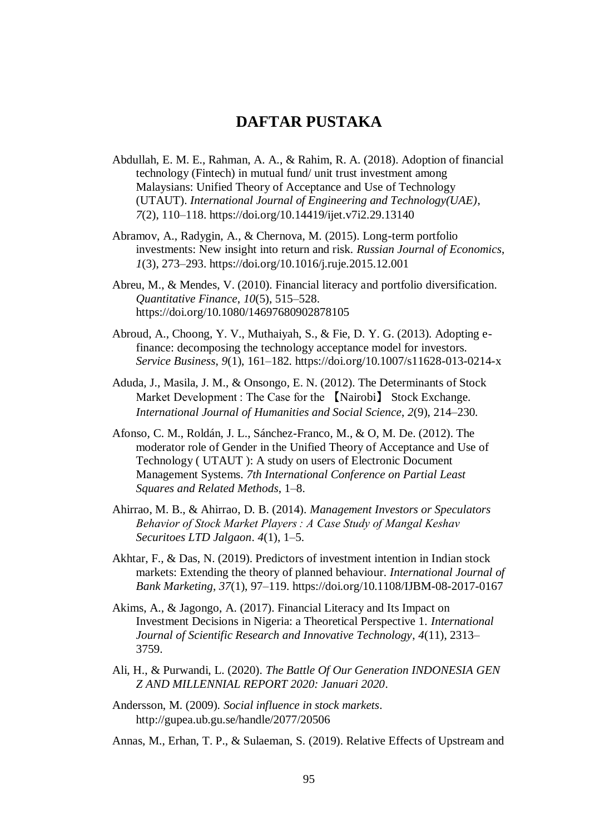## **DAFTAR PUSTAKA**

Abdullah, E. M. E., Rahman, A. A., & Rahim, R. A. (2018). Adoption of financial technology (Fintech) in mutual fund/ unit trust investment among Malaysians: Unified Theory of Acceptance and Use of Technology (UTAUT). *International Journal of Engineering and Technology(UAE)*, *7*(2), 110–118. https://doi.org/10.14419/ijet.v7i2.29.13140

Abramov, A., Radygin, A., & Chernova, M. (2015). Long-term portfolio investments: New insight into return and risk. *Russian Journal of Economics*, *1*(3), 273–293. https://doi.org/10.1016/j.ruje.2015.12.001

Abreu, M., & Mendes, V. (2010). Financial literacy and portfolio diversification. *Quantitative Finance*, *10*(5), 515–528. https://doi.org/10.1080/14697680902878105

- Abroud, A., Choong, Y. V., Muthaiyah, S., & Fie, D. Y. G. (2013). Adopting efinance: decomposing the technology acceptance model for investors. *Service Business*, *9*(1), 161–182. https://doi.org/10.1007/s11628-013-0214-x
- Aduda, J., Masila, J. M., & Onsongo, E. N. (2012). The Determinants of Stock Market Development : The Case for the 【Nairobi】 Stock Exchange. *International Journal of Humanities and Social Science*, *2*(9), 214–230.
- Afonso, C. M., Roldán, J. L., Sánchez-Franco, M., & O, M. De. (2012). The moderator role of Gender in the Unified Theory of Acceptance and Use of Technology ( UTAUT ): A study on users of Electronic Document Management Systems. *7th International Conference on Partial Least Squares and Related Methods*, 1–8.
- Ahirrao, M. B., & Ahirrao, D. B. (2014). *Management Investors or Speculators Behavior of Stock Market Players : A Case Study of Mangal Keshav Securitoes LTD Jalgaon*. *4*(1), 1–5.
- Akhtar, F., & Das, N. (2019). Predictors of investment intention in Indian stock markets: Extending the theory of planned behaviour. *International Journal of Bank Marketing*, *37*(1), 97–119. https://doi.org/10.1108/IJBM-08-2017-0167
- Akims, A., & Jagongo, A. (2017). Financial Literacy and Its Impact on Investment Decisions in Nigeria: a Theoretical Perspective 1. *International Journal of Scientific Research and Innovative Technology*, *4*(11), 2313– 3759.
- Ali, H., & Purwandi, L. (2020). *The Battle Of Our Generation INDONESIA GEN Z AND MILLENNIAL REPORT 2020: Januari 2020*.
- Andersson, M. (2009). *Social influence in stock markets*. http://gupea.ub.gu.se/handle/2077/20506

Annas, M., Erhan, T. P., & Sulaeman, S. (2019). Relative Effects of Upstream and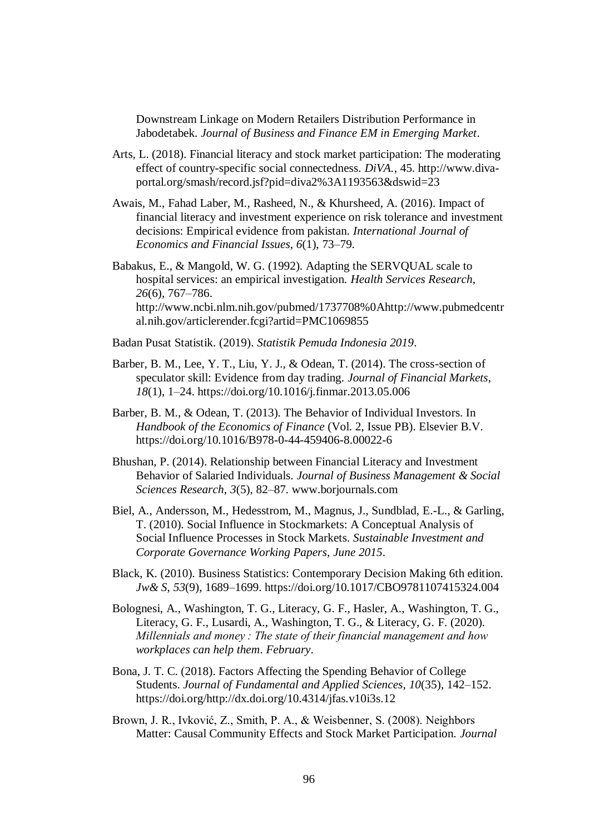Downstream Linkage on Modern Retailers Distribution Performance in Jabodetabek. *Journal of Business and Finance EM in Emerging Market*.

- Arts, L. (2018). Financial literacy and stock market participation: The moderating effect of country-specific social connectedness. *DiVA.*, 45. http://www.divaportal.org/smash/record.jsf?pid=diva2%3A1193563&dswid=23
- Awais, M., Fahad Laber, M., Rasheed, N., & Khursheed, A. (2016). Impact of financial literacy and investment experience on risk tolerance and investment decisions: Empirical evidence from pakistan. *International Journal of Economics and Financial Issues*, *6*(1), 73–79.
- Babakus, E., & Mangold, W. G. (1992). Adapting the SERVQUAL scale to hospital services: an empirical investigation. *Health Services Research*, *26*(6), 767–786. http://www.ncbi.nlm.nih.gov/pubmed/1737708%0Ahttp://www.pubmedcentr al.nih.gov/articlerender.fcgi?artid=PMC1069855
- Badan Pusat Statistik. (2019). *Statistik Pemuda Indonesia 2019*.
- Barber, B. M., Lee, Y. T., Liu, Y. J., & Odean, T. (2014). The cross-section of speculator skill: Evidence from day trading. *Journal of Financial Markets*, *18*(1), 1–24. https://doi.org/10.1016/j.finmar.2013.05.006
- Barber, B. M., & Odean, T. (2013). The Behavior of Individual Investors. In *Handbook of the Economics of Finance* (Vol. 2, Issue PB). Elsevier B.V. https://doi.org/10.1016/B978-0-44-459406-8.00022-6
- Bhushan, P. (2014). Relationship between Financial Literacy and Investment Behavior of Salaried Individuals. *Journal of Business Management & Social Sciences Research*, *3*(5), 82–87. www.borjournals.com
- Biel, A., Andersson, M., Hedesstrom, M., Magnus, J., Sundblad, E.-L., & Garling, T. (2010). Social Influence in Stockmarkets: A Conceptual Analysis of Social Influence Processes in Stock Markets. *Sustainable Investment and Corporate Governance Working Papers*, *June 2015*.
- Black, K. (2010). Business Statistics: Contemporary Decision Making 6th edition. *Jw& S*, *53*(9), 1689–1699. https://doi.org/10.1017/CBO9781107415324.004
- Bolognesi, A., Washington, T. G., Literacy, G. F., Hasler, A., Washington, T. G., Literacy, G. F., Lusardi, A., Washington, T. G., & Literacy, G. F. (2020). *Millennials and money : The state of their financial management and how workplaces can help them*. *February*.
- Bona, J. T. C. (2018). Factors Affecting the Spending Behavior of College Students. *Journal of Fundamental and Applied Sciences*, *10*(35), 142–152. https://doi.org/http://dx.doi.org/10.4314/jfas.v10i3s.12
- Brown, J. R., Ivković, Z., Smith, P. A., & Weisbenner, S. (2008). Neighbors Matter: Causal Community Effects and Stock Market Participation. *Journal*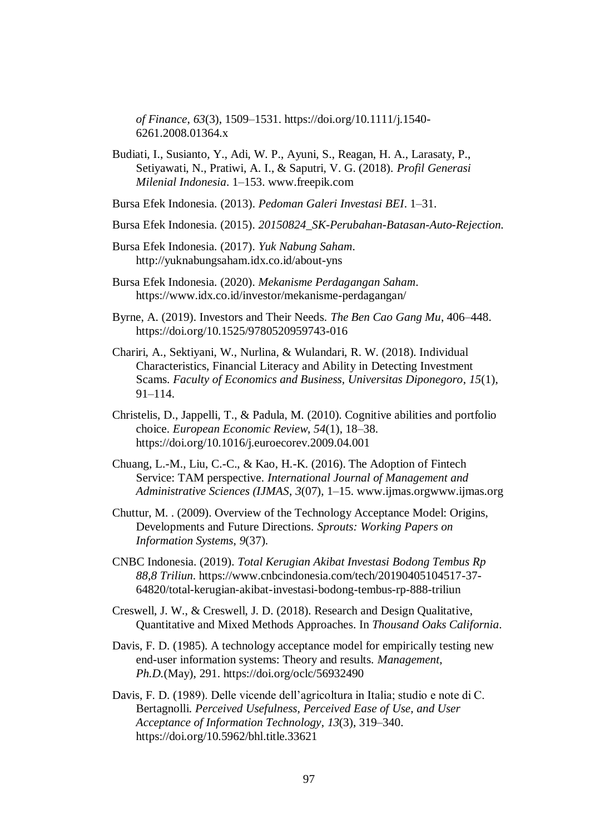*of Finance*, *63*(3), 1509–1531. https://doi.org/10.1111/j.1540- 6261.2008.01364.x

- Budiati, I., Susianto, Y., Adi, W. P., Ayuni, S., Reagan, H. A., Larasaty, P., Setiyawati, N., Pratiwi, A. I., & Saputri, V. G. (2018). *Profil Generasi Milenial Indonesia*. 1–153. www.freepik.com
- Bursa Efek Indonesia. (2013). *Pedoman Galeri Investasi BEI*. 1–31.
- Bursa Efek Indonesia. (2015). *20150824\_SK-Perubahan-Batasan-Auto-Rejection*.
- Bursa Efek Indonesia. (2017). *Yuk Nabung Saham*. http://yuknabungsaham.idx.co.id/about-yns
- Bursa Efek Indonesia. (2020). *Mekanisme Perdagangan Saham*. https://www.idx.co.id/investor/mekanisme-perdagangan/
- Byrne, A. (2019). Investors and Their Needs. *The Ben Cao Gang Mu*, 406–448. https://doi.org/10.1525/9780520959743-016
- Chariri, A., Sektiyani, W., Nurlina, & Wulandari, R. W. (2018). Individual Characteristics, Financial Literacy and Ability in Detecting Investment Scams. *Faculty of Economics and Business, Universitas Diponegoro*, *15*(1), 91–114.
- Christelis, D., Jappelli, T., & Padula, M. (2010). Cognitive abilities and portfolio choice. *European Economic Review*, *54*(1), 18–38. https://doi.org/10.1016/j.euroecorev.2009.04.001
- Chuang, L.-M., Liu, C.-C., & Kao, H.-K. (2016). The Adoption of Fintech Service: TAM perspective. *International Journal of Management and Administrative Sciences (IJMAS*, *3*(07), 1–15. www.ijmas.orgwww.ijmas.org
- Chuttur, M. . (2009). Overview of the Technology Acceptance Model: Origins, Developments and Future Directions. *Sprouts: Working Papers on Information Systems*, *9*(37).
- CNBC Indonesia. (2019). *Total Kerugian Akibat Investasi Bodong Tembus Rp 88,8 Triliun*. https://www.cnbcindonesia.com/tech/20190405104517-37- 64820/total-kerugian-akibat-investasi-bodong-tembus-rp-888-triliun
- Creswell, J. W., & Creswell, J. D. (2018). Research and Design Qualitative, Quantitative and Mixed Methods Approaches. In *Thousand Oaks California*.
- Davis, F. D. (1985). A technology acceptance model for empirically testing new end-user information systems: Theory and results. *Management*, *Ph.D.*(May), 291. https://doi.org/oclc/56932490
- Davis, F. D. (1989). Delle vicende dell'agricoltura in Italia; studio e note di C. Bertagnolli. *Perceived Usefulness, Perceived Ease of Use, and User Acceptance of Information Technology*, *13*(3), 319–340. https://doi.org/10.5962/bhl.title.33621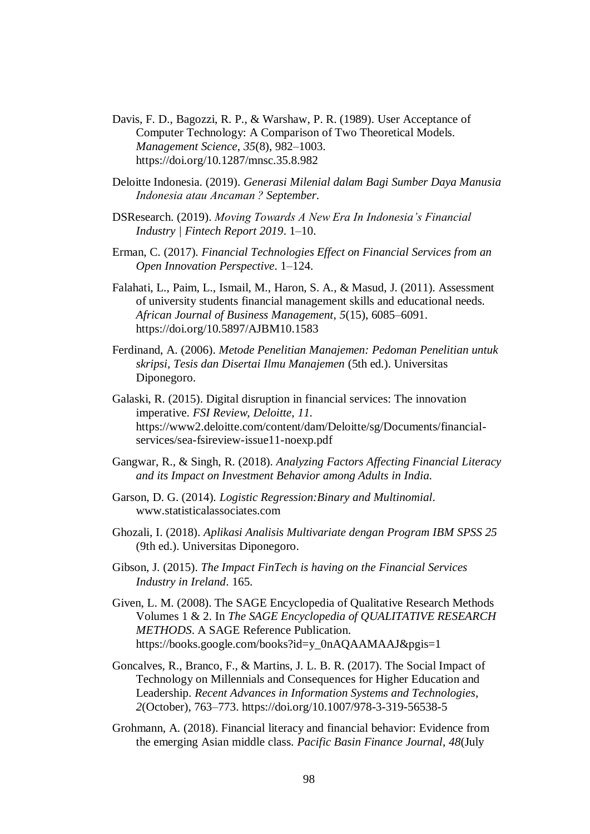- Davis, F. D., Bagozzi, R. P., & Warshaw, P. R. (1989). User Acceptance of Computer Technology: A Comparison of Two Theoretical Models. *Management Science*, *35*(8), 982–1003. https://doi.org/10.1287/mnsc.35.8.982
- Deloitte Indonesia. (2019). *Generasi Milenial dalam Bagi Sumber Daya Manusia Indonesia atau Ancaman ? September*.
- DSResearch. (2019). *Moving Towards A New Era In Indonesia's Financial Industry | Fintech Report 2019*. 1–10.
- Erman, C. (2017). *Financial Technologies Effect on Financial Services from an Open Innovation Perspective*. 1–124.
- Falahati, L., Paim, L., Ismail, M., Haron, S. A., & Masud, J. (2011). Assessment of university students financial management skills and educational needs. *African Journal of Business Management*, *5*(15), 6085–6091. https://doi.org/10.5897/AJBM10.1583
- Ferdinand, A. (2006). *Metode Penelitian Manajemen: Pedoman Penelitian untuk skripsi, Tesis dan Disertai Ilmu Manajemen* (5th ed.). Universitas Diponegoro.
- Galaski, R. (2015). Digital disruption in financial services: The innovation imperative. *FSI Review, Deloitte*, *11*. https://www2.deloitte.com/content/dam/Deloitte/sg/Documents/financialservices/sea-fsireview-issue11-noexp.pdf
- Gangwar, R., & Singh, R. (2018). *Analyzing Factors Affecting Financial Literacy and its Impact on Investment Behavior among Adults in India*.
- Garson, D. G. (2014). *Logistic Regression:Binary and Multinomial*. www.statisticalassociates.com
- Ghozali, I. (2018). *Aplikasi Analisis Multivariate dengan Program IBM SPSS 25* (9th ed.). Universitas Diponegoro.
- Gibson, J. (2015). *The Impact FinTech is having on the Financial Services Industry in Ireland*. 165.
- Given, L. M. (2008). The SAGE Encyclopedia of Qualitative Research Methods Volumes 1 & 2. In *The SAGE Encyclopedia of QUALITATIVE RESEARCH METHODS*. A SAGE Reference Publication. https://books.google.com/books?id=y\_0nAQAAMAAJ&pgis=1
- Goncalves, R., Branco, F., & Martins, J. L. B. R. (2017). The Social Impact of Technology on Millennials and Consequences for Higher Education and Leadership. *Recent Advances in Information Systems and Technologies*, *2*(October), 763–773. https://doi.org/10.1007/978-3-319-56538-5
- Grohmann, A. (2018). Financial literacy and financial behavior: Evidence from the emerging Asian middle class. *Pacific Basin Finance Journal*, *48*(July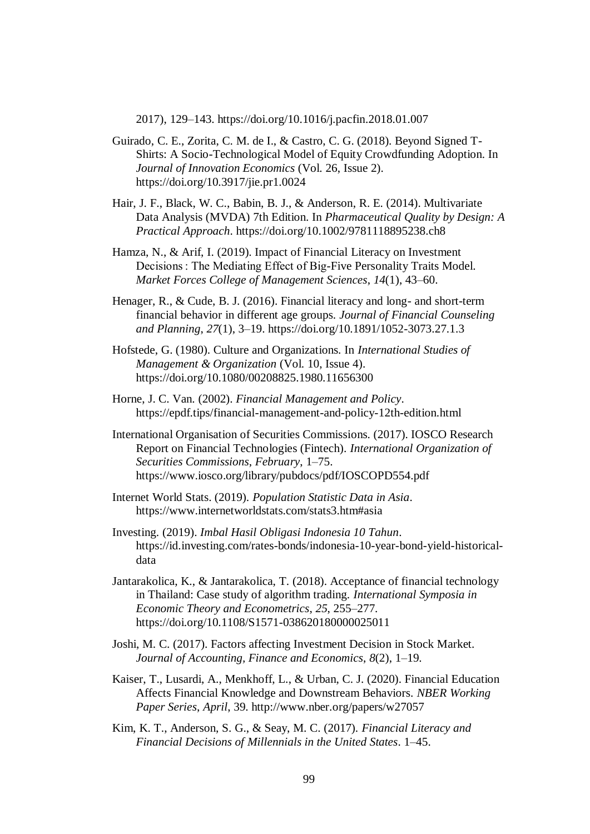2017), 129–143. https://doi.org/10.1016/j.pacfin.2018.01.007

- Guirado, C. E., Zorita, C. M. de I., & Castro, C. G. (2018). Beyond Signed T-Shirts: A Socio-Technological Model of Equity Crowdfunding Adoption. In *Journal of Innovation Economics* (Vol. 26, Issue 2). https://doi.org/10.3917/jie.pr1.0024
- Hair, J. F., Black, W. C., Babin, B. J., & Anderson, R. E. (2014). Multivariate Data Analysis (MVDA) 7th Edition. In *Pharmaceutical Quality by Design: A Practical Approach*. https://doi.org/10.1002/9781118895238.ch8
- Hamza, N., & Arif, I. (2019). Impact of Financial Literacy on Investment Decisions : The Mediating Effect of Big-Five Personality Traits Model. *Market Forces College of Management Sciences*, *14*(1), 43–60.
- Henager, R., & Cude, B. J. (2016). Financial literacy and long- and short-term financial behavior in different age groups. *Journal of Financial Counseling and Planning*, *27*(1), 3–19. https://doi.org/10.1891/1052-3073.27.1.3
- Hofstede, G. (1980). Culture and Organizations. In *International Studies of Management & Organization* (Vol. 10, Issue 4). https://doi.org/10.1080/00208825.1980.11656300
- Horne, J. C. Van. (2002). *Financial Management and Policy*. https://epdf.tips/financial-management-and-policy-12th-edition.html
- International Organisation of Securities Commissions. (2017). IOSCO Research Report on Financial Technologies (Fintech). *International Organization of Securities Commissions*, *February*, 1–75. https://www.iosco.org/library/pubdocs/pdf/IOSCOPD554.pdf
- Internet World Stats. (2019). *Population Statistic Data in Asia*. https://www.internetworldstats.com/stats3.htm#asia
- Investing. (2019). *Imbal Hasil Obligasi Indonesia 10 Tahun*. https://id.investing.com/rates-bonds/indonesia-10-year-bond-yield-historicaldata
- Jantarakolica, K., & Jantarakolica, T. (2018). Acceptance of financial technology in Thailand: Case study of algorithm trading. *International Symposia in Economic Theory and Econometrics*, *25*, 255–277. https://doi.org/10.1108/S1571-038620180000025011
- Joshi, M. C. (2017). Factors affecting Investment Decision in Stock Market. *Journal of Accounting, Finance and Economics*, *8*(2), 1–19.
- Kaiser, T., Lusardi, A., Menkhoff, L., & Urban, C. J. (2020). Financial Education Affects Financial Knowledge and Downstream Behaviors. *NBER Working Paper Series*, *April*, 39. http://www.nber.org/papers/w27057
- Kim, K. T., Anderson, S. G., & Seay, M. C. (2017). *Financial Literacy and Financial Decisions of Millennials in the United States*. 1–45.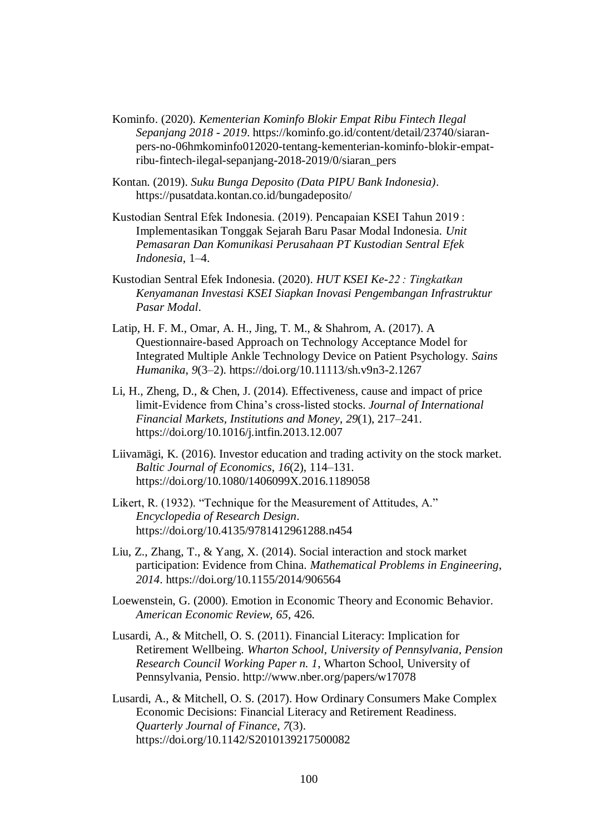- Kominfo. (2020). *Kementerian Kominfo Blokir Empat Ribu Fintech Ilegal Sepanjang 2018 - 2019*. https://kominfo.go.id/content/detail/23740/siaranpers-no-06hmkominfo012020-tentang-kementerian-kominfo-blokir-empatribu-fintech-ilegal-sepanjang-2018-2019/0/siaran\_pers
- Kontan. (2019). *Suku Bunga Deposito (Data PIPU Bank Indonesia)*. https://pusatdata.kontan.co.id/bungadeposito/
- Kustodian Sentral Efek Indonesia. (2019). Pencapaian KSEI Tahun 2019 : Implementasikan Tonggak Sejarah Baru Pasar Modal Indonesia. *Unit Pemasaran Dan Komunikasi Perusahaan PT Kustodian Sentral Efek Indonesia*, 1–4.
- Kustodian Sentral Efek Indonesia. (2020). *HUT KSEI Ke-22 : Tingkatkan Kenyamanan Investasi KSEI Siapkan Inovasi Pengembangan Infrastruktur Pasar Modal*.
- Latip, H. F. M., Omar, A. H., Jing, T. M., & Shahrom, A. (2017). A Questionnaire-based Approach on Technology Acceptance Model for Integrated Multiple Ankle Technology Device on Patient Psychology. *Sains Humanika*, *9*(3–2). https://doi.org/10.11113/sh.v9n3-2.1267
- Li, H., Zheng, D., & Chen, J. (2014). Effectiveness, cause and impact of price limit-Evidence from China's cross-listed stocks. *Journal of International Financial Markets, Institutions and Money*, *29*(1), 217–241. https://doi.org/10.1016/j.intfin.2013.12.007
- Liivamägi, K. (2016). Investor education and trading activity on the stock market. *Baltic Journal of Economics*, *16*(2), 114–131. https://doi.org/10.1080/1406099X.2016.1189058
- Likert, R. (1932). "Technique for the Measurement of Attitudes, A." *Encyclopedia of Research Design*. https://doi.org/10.4135/9781412961288.n454
- Liu, Z., Zhang, T., & Yang, X. (2014). Social interaction and stock market participation: Evidence from China. *Mathematical Problems in Engineering*, *2014*. https://doi.org/10.1155/2014/906564
- Loewenstein, G. (2000). Emotion in Economic Theory and Economic Behavior. *American Economic Review*, *65*, 426.
- Lusardi, A., & Mitchell, O. S. (2011). Financial Literacy: Implication for Retirement Wellbeing. *Wharton School, University of Pennsylvania, Pension Research Council Working Paper n. 1*, Wharton School, University of Pennsylvania, Pensio. http://www.nber.org/papers/w17078
- Lusardi, A., & Mitchell, O. S. (2017). How Ordinary Consumers Make Complex Economic Decisions: Financial Literacy and Retirement Readiness. *Quarterly Journal of Finance*, *7*(3). https://doi.org/10.1142/S2010139217500082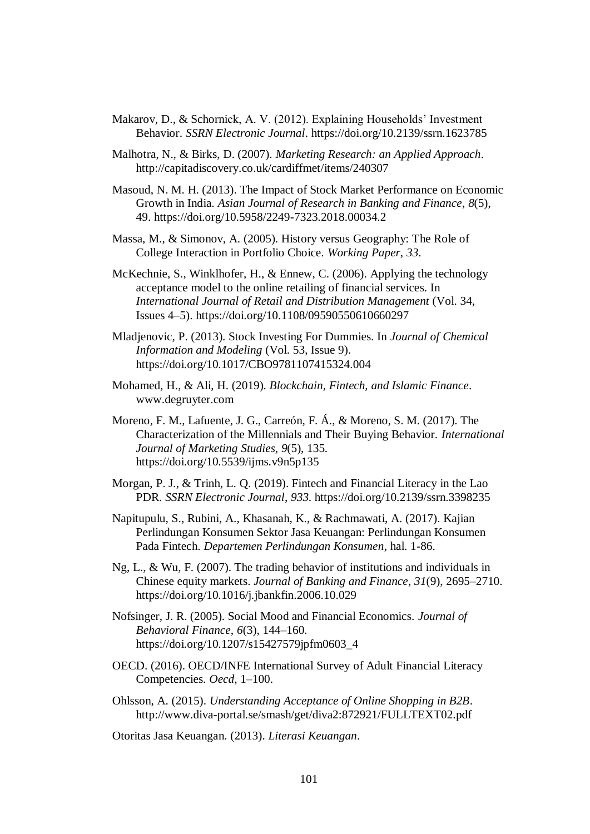- Makarov, D., & Schornick, A. V. (2012). Explaining Households' Investment Behavior. *SSRN Electronic Journal*. https://doi.org/10.2139/ssrn.1623785
- Malhotra, N., & Birks, D. (2007). *Marketing Research: an Applied Approach*. http://capitadiscovery.co.uk/cardiffmet/items/240307
- Masoud, N. M. H. (2013). The Impact of Stock Market Performance on Economic Growth in India. *Asian Journal of Research in Banking and Finance*, *8*(5), 49. https://doi.org/10.5958/2249-7323.2018.00034.2
- Massa, M., & Simonov, A. (2005). History versus Geography: The Role of College Interaction in Portfolio Choice. *Working Paper*, *33*.
- McKechnie, S., Winklhofer, H., & Ennew, C. (2006). Applying the technology acceptance model to the online retailing of financial services. In *International Journal of Retail and Distribution Management* (Vol. 34, Issues 4–5). https://doi.org/10.1108/09590550610660297
- Mladjenovic, P. (2013). Stock Investing For Dummies. In *Journal of Chemical Information and Modeling* (Vol. 53, Issue 9). https://doi.org/10.1017/CBO9781107415324.004
- Mohamed, H., & Ali, H. (2019). *Blockchain, Fintech, and Islamic Finance*. www.degruyter.com
- Moreno, F. M., Lafuente, J. G., Carreón, F. Á., & Moreno, S. M. (2017). The Characterization of the Millennials and Their Buying Behavior. *International Journal of Marketing Studies*, *9*(5), 135. https://doi.org/10.5539/ijms.v9n5p135
- Morgan, P. J., & Trinh, L. Q. (2019). Fintech and Financial Literacy in the Lao PDR. *SSRN Electronic Journal*, *933*. https://doi.org/10.2139/ssrn.3398235
- Napitupulu, S., Rubini, A., Khasanah, K., & Rachmawati, A. (2017). Kajian Perlindungan Konsumen Sektor Jasa Keuangan: Perlindungan Konsumen Pada Fintech. *Departemen Perlindungan Konsumen*, hal. 1-86.
- Ng, L., & Wu, F. (2007). The trading behavior of institutions and individuals in Chinese equity markets. *Journal of Banking and Finance*, *31*(9), 2695–2710. https://doi.org/10.1016/j.jbankfin.2006.10.029
- Nofsinger, J. R. (2005). Social Mood and Financial Economics. *Journal of Behavioral Finance*, *6*(3), 144–160. https://doi.org/10.1207/s15427579jpfm0603\_4
- OECD. (2016). OECD/INFE International Survey of Adult Financial Literacy Competencies. *Oecd*, 1–100.
- Ohlsson, A. (2015). *Understanding Acceptance of Online Shopping in B2B*. http://www.diva-portal.se/smash/get/diva2:872921/FULLTEXT02.pdf
- Otoritas Jasa Keuangan. (2013). *Literasi Keuangan*.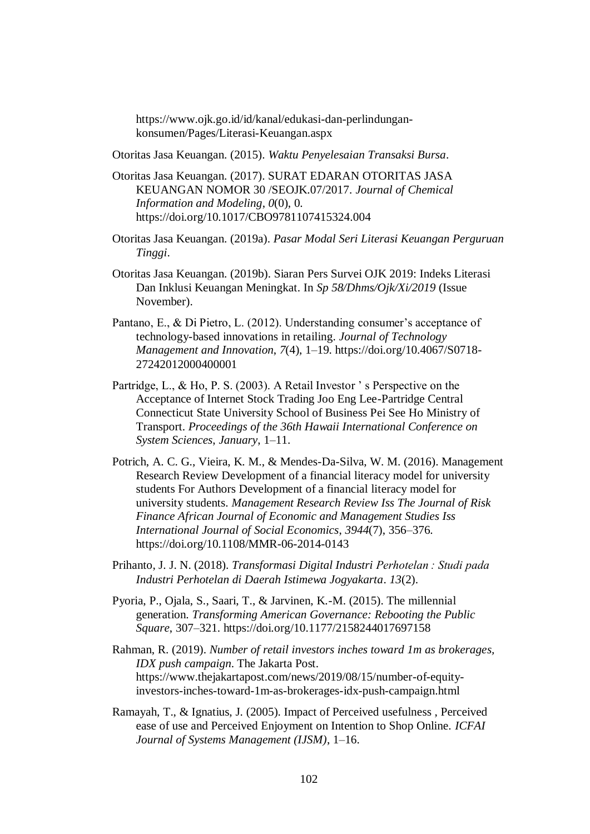https://www.ojk.go.id/id/kanal/edukasi-dan-perlindungankonsumen/Pages/Literasi-Keuangan.aspx

Otoritas Jasa Keuangan. (2015). *Waktu Penyelesaian Transaksi Bursa*.

- Otoritas Jasa Keuangan. (2017). SURAT EDARAN OTORITAS JASA KEUANGAN NOMOR 30 /SEOJK.07/2017. *Journal of Chemical Information and Modeling*, *0*(0), 0. https://doi.org/10.1017/CBO9781107415324.004
- Otoritas Jasa Keuangan. (2019a). *Pasar Modal Seri Literasi Keuangan Perguruan Tinggi*.
- Otoritas Jasa Keuangan. (2019b). Siaran Pers Survei OJK 2019: Indeks Literasi Dan Inklusi Keuangan Meningkat. In *Sp 58/Dhms/Ojk/Xi/2019* (Issue November).
- Pantano, E., & Di Pietro, L. (2012). Understanding consumer's acceptance of technology-based innovations in retailing. *Journal of Technology Management and Innovation*, *7*(4), 1–19. https://doi.org/10.4067/S0718- 27242012000400001
- Partridge, L., & Ho, P. S. (2003). A Retail Investor ' s Perspective on the Acceptance of Internet Stock Trading Joo Eng Lee-Partridge Central Connecticut State University School of Business Pei See Ho Ministry of Transport. *Proceedings of the 36th Hawaii International Conference on System Sciences*, *January*, 1–11.
- Potrich, A. C. G., Vieira, K. M., & Mendes-Da-Silva, W. M. (2016). Management Research Review Development of a financial literacy model for university students For Authors Development of a financial literacy model for university students. *Management Research Review Iss The Journal of Risk Finance African Journal of Economic and Management Studies Iss International Journal of Social Economics*, *3944*(7), 356–376. https://doi.org/10.1108/MMR-06-2014-0143
- Prihanto, J. J. N. (2018). *Transformasi Digital Industri Perhotelan : Studi pada Industri Perhotelan di Daerah Istimewa Jogyakarta*. *13*(2).
- Pyoria, P., Ojala, S., Saari, T., & Jarvinen, K.-M. (2015). The millennial generation. *Transforming American Governance: Rebooting the Public Square*, 307–321. https://doi.org/10.1177/2158244017697158
- Rahman, R. (2019). *Number of retail investors inches toward 1m as brokerages, IDX push campaign*. The Jakarta Post. https://www.thejakartapost.com/news/2019/08/15/number-of-equityinvestors-inches-toward-1m-as-brokerages-idx-push-campaign.html
- Ramayah, T., & Ignatius, J. (2005). Impact of Perceived usefulness , Perceived ease of use and Perceived Enjoyment on Intention to Shop Online. *ICFAI Journal of Systems Management (IJSM)*, 1–16.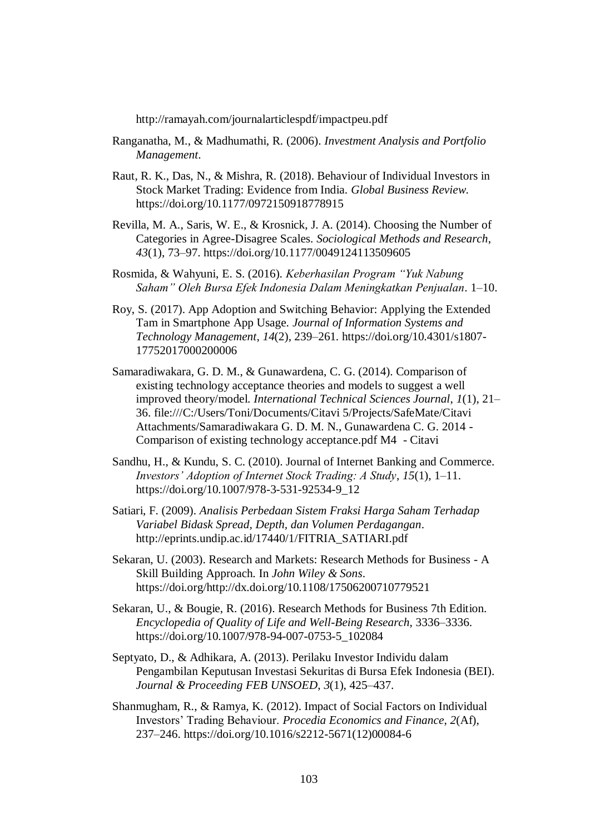http://ramayah.com/journalarticlespdf/impactpeu.pdf

- Ranganatha, M., & Madhumathi, R. (2006). *Investment Analysis and Portfolio Management*.
- Raut, R. K., Das, N., & Mishra, R. (2018). Behaviour of Individual Investors in Stock Market Trading: Evidence from India. *Global Business Review*. https://doi.org/10.1177/0972150918778915
- Revilla, M. A., Saris, W. E., & Krosnick, J. A. (2014). Choosing the Number of Categories in Agree-Disagree Scales. *Sociological Methods and Research*, *43*(1), 73–97. https://doi.org/10.1177/0049124113509605
- Rosmida, & Wahyuni, E. S. (2016). *Keberhasilan Program "Yuk Nabung Saham" Oleh Bursa Efek Indonesia Dalam Meningkatkan Penjualan*. 1–10.
- Roy, S. (2017). App Adoption and Switching Behavior: Applying the Extended Tam in Smartphone App Usage. *Journal of Information Systems and Technology Management*, *14*(2), 239–261. https://doi.org/10.4301/s1807- 17752017000200006
- Samaradiwakara, G. D. M., & Gunawardena, C. G. (2014). Comparison of existing technology acceptance theories and models to suggest a well improved theory/model. *International Technical Sciences Journal*, *1*(1), 21– 36. file:///C:/Users/Toni/Documents/Citavi 5/Projects/SafeMate/Citavi Attachments/Samaradiwakara G. D. M. N., Gunawardena C. G. 2014 - Comparison of existing technology acceptance.pdf M4 - Citavi
- Sandhu, H., & Kundu, S. C. (2010). Journal of Internet Banking and Commerce. *Investors' Adoption of Internet Stock Trading: A Study*, *15*(1), 1–11. https://doi.org/10.1007/978-3-531-92534-9\_12
- Satiari, F. (2009). *Analisis Perbedaan Sistem Fraksi Harga Saham Terhadap Variabel Bidask Spread, Depth, dan Volumen Perdagangan*. http://eprints.undip.ac.id/17440/1/FITRIA\_SATIARI.pdf
- Sekaran, U. (2003). Research and Markets: Research Methods for Business A Skill Building Approach. In *John Wiley & Sons*. https://doi.org/http://dx.doi.org/10.1108/17506200710779521
- Sekaran, U., & Bougie, R. (2016). Research Methods for Business 7th Edition. *Encyclopedia of Quality of Life and Well-Being Research*, 3336–3336. https://doi.org/10.1007/978-94-007-0753-5\_102084
- Septyato, D., & Adhikara, A. (2013). Perilaku Investor Individu dalam Pengambilan Keputusan Investasi Sekuritas di Bursa Efek Indonesia (BEI). *Journal & Proceeding FEB UNSOED*, *3*(1), 425–437.
- Shanmugham, R., & Ramya, K. (2012). Impact of Social Factors on Individual Investors' Trading Behaviour. *Procedia Economics and Finance*, *2*(Af), 237–246. https://doi.org/10.1016/s2212-5671(12)00084-6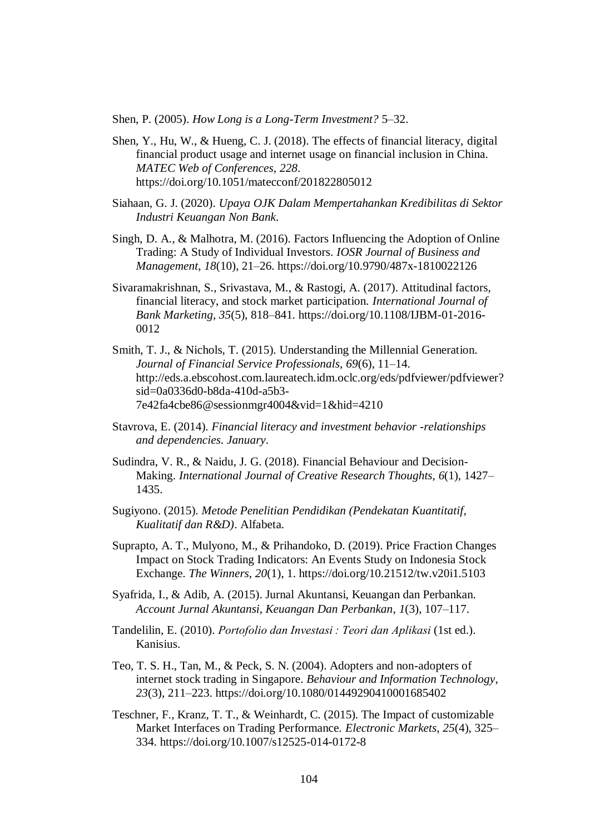Shen, P. (2005). *How Long is a Long-Term Investment?* 5–32.

- Shen, Y., Hu, W., & Hueng, C. J. (2018). The effects of financial literacy, digital financial product usage and internet usage on financial inclusion in China. *MATEC Web of Conferences*, *228*. https://doi.org/10.1051/matecconf/201822805012
- Siahaan, G. J. (2020). *Upaya OJK Dalam Mempertahankan Kredibilitas di Sektor Industri Keuangan Non Bank*.
- Singh, D. A., & Malhotra, M. (2016). Factors Influencing the Adoption of Online Trading: A Study of Individual Investors. *IOSR Journal of Business and Management*, *18*(10), 21–26. https://doi.org/10.9790/487x-1810022126
- Sivaramakrishnan, S., Srivastava, M., & Rastogi, A. (2017). Attitudinal factors, financial literacy, and stock market participation. *International Journal of Bank Marketing*, *35*(5), 818–841. https://doi.org/10.1108/IJBM-01-2016- 0012
- Smith, T. J., & Nichols, T. (2015). Understanding the Millennial Generation. *Journal of Financial Service Professionals*, *69*(6), 11–14. http://eds.a.ebscohost.com.laureatech.idm.oclc.org/eds/pdfviewer/pdfviewer? sid=0a0336d0-b8da-410d-a5b3- 7e42fa4cbe86@sessionmgr4004&vid=1&hid=4210
- Stavrova, E. (2014). *Financial literacy and investment behavior -relationships and dependencies*. *January*.
- Sudindra, V. R., & Naidu, J. G. (2018). Financial Behaviour and Decision-Making. *International Journal of Creative Research Thoughts*, *6*(1), 1427– 1435.
- Sugiyono. (2015). *Metode Penelitian Pendidikan (Pendekatan Kuantitatif, Kualitatif dan R&D)*. Alfabeta.
- Suprapto, A. T., Mulyono, M., & Prihandoko, D. (2019). Price Fraction Changes Impact on Stock Trading Indicators: An Events Study on Indonesia Stock Exchange. *The Winners*, *20*(1), 1. https://doi.org/10.21512/tw.v20i1.5103
- Syafrida, I., & Adib, A. (2015). Jurnal Akuntansi, Keuangan dan Perbankan. *Account Jurnal Akuntansi, Keuangan Dan Perbankan*, *1*(3), 107–117.
- Tandelilin, E. (2010). *Portofolio dan Investasi : Teori dan Aplikasi* (1st ed.). Kanisius.
- Teo, T. S. H., Tan, M., & Peck, S. N. (2004). Adopters and non-adopters of internet stock trading in Singapore. *Behaviour and Information Technology*, *23*(3), 211–223. https://doi.org/10.1080/01449290410001685402
- Teschner, F., Kranz, T. T., & Weinhardt, C. (2015). The Impact of customizable Market Interfaces on Trading Performance. *Electronic Markets*, *25*(4), 325– 334. https://doi.org/10.1007/s12525-014-0172-8